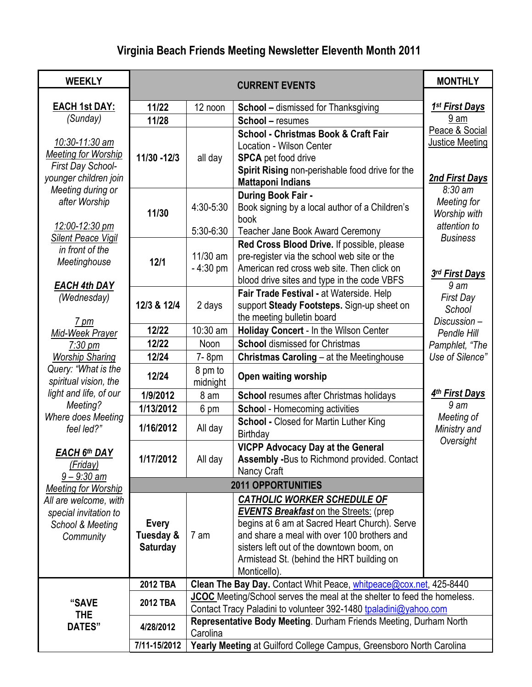# **Virginia Beach Friends Meeting Newsletter Eleventh Month 2011**

| <b>WEEKLY</b>                                | <b>CURRENT EVENTS</b>     |                                                                                                                                                |                                                                       | <b>MONTHLY</b>                   |  |
|----------------------------------------------|---------------------------|------------------------------------------------------------------------------------------------------------------------------------------------|-----------------------------------------------------------------------|----------------------------------|--|
| <b>EACH 1st DAY:</b>                         | 11/22                     | 12 noon                                                                                                                                        |                                                                       | <u>1<sup>st</sup> First Days</u> |  |
| (Sunday)                                     | 11/28                     |                                                                                                                                                | <b>School</b> – dismissed for Thanksgiving<br><b>School - resumes</b> | 9 am                             |  |
|                                              |                           |                                                                                                                                                | School - Christmas Book & Craft Fair                                  | Peace & Social                   |  |
| 10:30-11:30 am                               |                           |                                                                                                                                                | <b>Location - Wilson Center</b>                                       | <b>Justice Meeting</b>           |  |
| <b>Meeting for Worship</b>                   | 11/30 - 12/3              | all day                                                                                                                                        | <b>SPCA</b> pet food drive                                            |                                  |  |
| First Day School-                            |                           |                                                                                                                                                | Spirit Rising non-perishable food drive for the                       |                                  |  |
| younger children join                        |                           |                                                                                                                                                | <b>Mattaponi Indians</b>                                              | 2nd First Days                   |  |
| Meeting during or                            |                           |                                                                                                                                                | During Book Fair -                                                    | $8:30 \text{ am}$                |  |
| after Worship                                |                           | 4:30-5:30                                                                                                                                      | Book signing by a local author of a Children's                        | Meeting for                      |  |
|                                              | 11/30                     |                                                                                                                                                | book                                                                  | Worship with                     |  |
| 12:00-12:30 pm<br><b>Silent Peace Vigil</b>  |                           | 5:30-6:30                                                                                                                                      | Teacher Jane Book Award Ceremony                                      | attention to<br><b>Business</b>  |  |
| in front of the                              |                           |                                                                                                                                                | Red Cross Blood Drive. If possible, please                            |                                  |  |
| Meetinghouse                                 | 12/1                      | 11/30 am                                                                                                                                       | pre-register via the school web site or the                           |                                  |  |
|                                              |                           | $-4:30$ pm                                                                                                                                     | American red cross web site. Then click on                            | 3rd First Days                   |  |
| <b>EACH 4th DAY</b>                          |                           |                                                                                                                                                | blood drive sites and type in the code VBFS                           | 9 <sub>am</sub>                  |  |
| (Wednesday)                                  |                           |                                                                                                                                                | Fair Trade Festival - at Waterside. Help                              | <b>First Day</b>                 |  |
|                                              | 12/3 & 12/4               | 2 days                                                                                                                                         | support Steady Footsteps. Sign-up sheet on                            | School                           |  |
| 7 pm                                         |                           |                                                                                                                                                | the meeting bulletin board                                            | Discussion-                      |  |
| Mid-Week Prayer                              | 12/22                     | 10:30 am                                                                                                                                       | Holiday Concert - In the Wilson Center                                | Pendle Hill                      |  |
| $7:30 \text{ pm}$                            | 12/22                     | Noon                                                                                                                                           | <b>School dismissed for Christmas</b>                                 | Pamphlet, "The                   |  |
| <b>Worship Sharing</b>                       | 12/24                     | 7-8pm                                                                                                                                          | Christmas Caroling - at the Meetinghouse                              | Use of Silence"                  |  |
| Query: "What is the<br>spiritual vision, the | 12/24                     | 8 pm to<br>midnight                                                                                                                            | Open waiting worship                                                  |                                  |  |
| light and life, of our                       | 1/9/2012                  | 8 am                                                                                                                                           | <b>School resumes after Christmas holidays</b>                        | <u>4th First Days</u>            |  |
| Meeting?                                     | 1/13/2012                 | 6 pm                                                                                                                                           | <b>School</b> - Homecoming activities                                 | 9 <sub>am</sub>                  |  |
| Where does Meeting<br>feel led?"             | 1/16/2012                 | All day                                                                                                                                        | <b>School - Closed for Martin Luther King</b><br>Birthday             | Meeting of<br>Ministry and       |  |
|                                              |                           |                                                                                                                                                | <b>VICPP Advocacy Day at the General</b>                              | Oversight                        |  |
| <b>EACH 6th DAY</b>                          | 1/17/2012                 | All day                                                                                                                                        | Assembly -Bus to Richmond provided. Contact                           |                                  |  |
| (Friday)<br>$9 - 9:30$ am                    | Nancy Craft               |                                                                                                                                                |                                                                       |                                  |  |
| <b>Meeting for Worship</b>                   | <b>2011 OPPORTUNITIES</b> |                                                                                                                                                |                                                                       |                                  |  |
| All are welcome, with                        |                           |                                                                                                                                                | <b>CATHOLIC WORKER SCHEDULE OF</b>                                    |                                  |  |
| special invitation to                        |                           |                                                                                                                                                | <b>EVENTS Breakfast on the Streets: (prep)</b>                        |                                  |  |
| School & Meeting                             | <b>Every</b>              |                                                                                                                                                | begins at 6 am at Sacred Heart Church). Serve                         |                                  |  |
| Community                                    | Tuesday &                 | 7 am                                                                                                                                           | and share a meal with over 100 brothers and                           |                                  |  |
|                                              | <b>Saturday</b>           |                                                                                                                                                | sisters left out of the downtown boom, on                             |                                  |  |
|                                              |                           |                                                                                                                                                | Armistead St. (behind the HRT building on                             |                                  |  |
|                                              |                           |                                                                                                                                                | Monticello).                                                          |                                  |  |
|                                              | <b>2012 TBA</b>           | Clean The Bay Day. Contact Whit Peace, whitpeace@cox.net, 425-8440<br>JCOC Meeting/School serves the meal at the shelter to feed the homeless. |                                                                       |                                  |  |
| "SAVE                                        | <b>2012 TBA</b>           | Contact Tracy Paladini to volunteer 392-1480 tpaladini@yahoo.com                                                                               |                                                                       |                                  |  |
| <b>THE</b><br>DATES"                         | 4/28/2012                 | Representative Body Meeting. Durham Friends Meeting, Durham North<br>Carolina                                                                  |                                                                       |                                  |  |
|                                              | 7/11-15/2012              | Yearly Meeting at Guilford College Campus, Greensboro North Carolina                                                                           |                                                                       |                                  |  |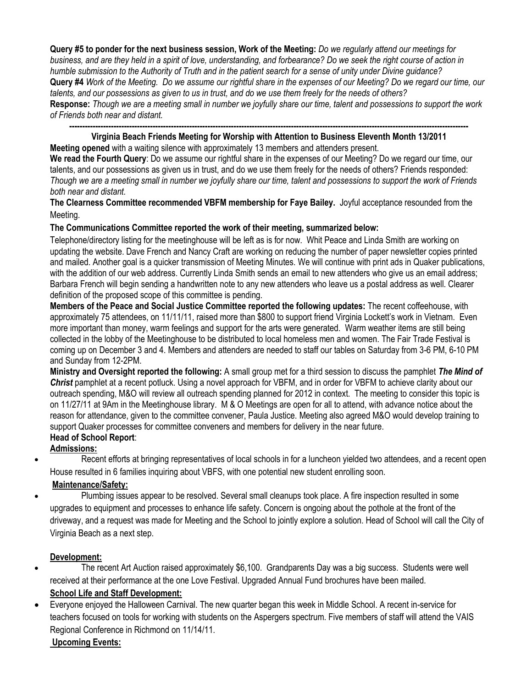**Query #5 to ponder for the next business session, Work of the Meeting:** *Do we regularly attend our meetings for business, and are they held in a spirit of love, understanding, and forbearance? Do we seek the right course of action in humble submission to the Authority of Truth and in the patient search for a sense of unity under Divine guidance?*  **Query #4** *Work of the Meeting. Do we assume our rightful share in the expenses of our Meeting? Do we regard our time, our talents, and our possessions as given to us in trust, and do we use them freely for the needs of others?* **Response:** *Though we are a meeting small in number we joyfully share our time, talent and possessions to support the work of Friends both near and distant.*

**--------------------------------------------------------------------------------------------------------------------------------------------------------- Virginia Beach Friends Meeting for Worship with Attention to Business Eleventh Month 13/2011**

**Meeting opened** with a waiting silence with approximately 13 members and attenders present.

**We read the Fourth Query**: Do we assume our rightful share in the expenses of our Meeting? Do we regard our time, our talents, and our possessions as given us in trust, and do we use them freely for the needs of others? Friends responded: *Though we are a meeting small in number we joyfully share our time, talent and possessions to support the work of Friends both near and distant.*

**The Clearness Committee recommended VBFM membership for Faye Bailey.** Joyful acceptance resounded from the Meeting.

## **The Communications Committee reported the work of their meeting, summarized below:**

Telephone/directory listing for the meetinghouse will be left as is for now. Whit Peace and Linda Smith are working on updating the website. Dave French and Nancy Craft are working on reducing the number of paper newsletter copies printed and mailed. Another goal is a quicker transmission of Meeting Minutes. We will continue with print ads in Quaker publications, with the addition of our web address. Currently Linda Smith sends an email to new attenders who give us an email address; Barbara French will begin sending a handwritten note to any new attenders who leave us a postal address as well. Clearer definition of the proposed scope of this committee is pending.

**Members of the Peace and Social Justice Committee reported the following updates:** The recent coffeehouse, with approximately 75 attendees, on 11/11/11, raised more than \$800 to support friend Virginia Lockett's work in Vietnam. Even more important than money, warm feelings and support for the arts were generated. Warm weather items are still being collected in the lobby of the Meetinghouse to be distributed to local homeless men and women. The Fair Trade Festival is coming up on December 3 and 4. Members and attenders are needed to staff our tables on Saturday from 3-6 PM, 6-10 PM and Sunday from 12-2PM.

**Ministry and Oversight reported the following:** A small group met for a third session to discuss the pamphlet *The Mind of Christ* pamphlet at a recent potluck. Using a novel approach for VBFM, and in order for VBFM to achieve clarity about our outreach spending, M&O will review all outreach spending planned for 2012 in context. The meeting to consider this topic is on 11/27/11 at 9Am in the Meetinghouse library. M & O Meetings are open for all to attend, with advance notice about the reason for attendance, given to the committee convener, Paula Justice. Meeting also agreed M&O would develop training to support Quaker processes for committee conveners and members for delivery in the near future.

# **Head of School Report**:

**Admissions:**

 Recent efforts at bringing representatives of local schools in for a luncheon yielded two attendees, and a recent open House resulted in 6 families inquiring about VBFS, with one potential new student enrolling soon.

# **Maintenance/Safety:**

 Plumbing issues appear to be resolved. Several small cleanups took place. A fire inspection resulted in some upgrades to equipment and processes to enhance life safety. Concern is ongoing about the pothole at the front of the driveway, and a request was made for Meeting and the School to jointly explore a solution. Head of School will call the City of Virginia Beach as a next step.

## **Development:**

 The recent Art Auction raised approximately \$6,100. Grandparents Day was a big success. Students were well received at their performance at the one Love Festival. Upgraded Annual Fund brochures have been mailed.

# **School Life and Staff Development:**

 Everyone enjoyed the Halloween Carnival. The new quarter began this week in Middle School. A recent in-service for teachers focused on tools for working with students on the Aspergers spectrum. Five members of staff will attend the VAIS Regional Conference in Richmond on 11/14/11.

# **Upcoming Events:**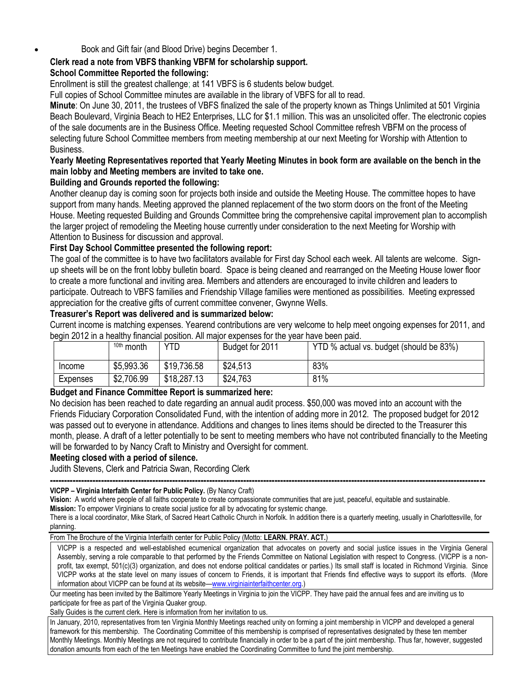Book and Gift fair (and Blood Drive) begins December 1.

## **Clerk read a note from VBFS thanking VBFM for scholarship support.**

#### **School Committee Reported the following:**

Enrollment is still the greatest challenge; at 141 VBFS is 6 students below budget.

Full copies of School Committee minutes are available in the library of VBFS for all to read.

**Minute**: On June 30, 2011, the trustees of VBFS finalized the sale of the property known as Things Unlimited at 501 Virginia Beach Boulevard, Virginia Beach to HE2 Enterprises, LLC for \$1.1 million. This was an unsolicited offer. The electronic copies of the sale documents are in the Business Office. Meeting requested School Committee refresh VBFM on the process of selecting future School Committee members from meeting membership at our next Meeting for Worship with Attention to Business.

## **Yearly Meeting Representatives reported that Yearly Meeting Minutes in book form are available on the bench in the main lobby and Meeting members are invited to take one.**

#### **Building and Grounds reported the following:**

Another cleanup day is coming soon for projects both inside and outside the Meeting House. The committee hopes to have support from many hands. Meeting approved the planned replacement of the two storm doors on the front of the Meeting House. Meeting requested Building and Grounds Committee bring the comprehensive capital improvement plan to accomplish the larger project of remodeling the Meeting house currently under consideration to the next Meeting for Worship with Attention to Business for discussion and approval.

## **First Day School Committee presented the following report:**

The goal of the committee is to have two facilitators available for First day School each week. All talents are welcome. Signup sheets will be on the front lobby bulletin board. Space is being cleaned and rearranged on the Meeting House lower floor to create a more functional and inviting area. Members and attenders are encouraged to invite children and leaders to participate. Outreach to VBFS families and Friendship Village families were mentioned as possibilities. Meeting expressed appreciation for the creative gifts of current committee convener, Gwynne Wells.

#### **Treasurer's Report was delivered and is summarized below:**

Current income is matching expenses. Yearend contributions are very welcome to help meet ongoing expenses for 2011, and begin 2012 in a healthy financial position. All major expenses for the year have been paid.

|          | 10th month | YTD         | Budget for 2011 | YTD % actual vs. budget (should be 83%) |
|----------|------------|-------------|-----------------|-----------------------------------------|
| Income   | \$5,993.36 | \$19,736.58 | \$24,513        | 83%                                     |
| Expenses | \$2,706.99 | \$18,287.13 | \$24,763        | 81%                                     |

#### **Budget and Finance Committee Report is summarized here:**

No decision has been reached to date regarding an annual audit process. \$50,000 was moved into an account with the Friends Fiduciary Corporation Consolidated Fund, with the intention of adding more in 2012. The proposed budget for 2012 was passed out to everyone in attendance. Additions and changes to lines items should be directed to the Treasurer this month, please. A draft of a letter potentially to be sent to meeting members who have not contributed financially to the Meeting will be forwarded to by Nancy Craft to Ministry and Oversight for comment.

#### **Meeting closed with a period of silence.**

Judith Stevens, Clerk and Patricia Swan, Recording Clerk

#### **--------------------------------------------------------------------------------------------------------------------------------------------------------- VICPP – Virginia Interfaith Center for Public Policy.** (By Nancy Craft)

**Vision:** A world where people of all faiths cooperate to create compassionate communities that are just, peaceful, equitable and sustainable.

**Mission:** To empower Virginians to create social justice for all by advocating for systemic change.

There is a local coordinator, Mike Stark, of Sacred Heart Catholic Church in Norfolk. In addition there is a quarterly meeting, usually in Charlottesville, for planning.

From The Brochure of the Virginia Interfaith center for Public Policy (Motto: **LEARN. PRAY. ACT.**)

VICPP is a respected and well-established ecumenical organization that advocates on poverty and social justice issues in the Virginia General Assembly, serving a role comparable to that performed by the Friends Committee on National Legislation with respect to Congress. (VICPP is a nonprofit, tax exempt, 501(c)(3) organization, and does not endorse political candidates or parties.) Its small staff is located in Richmond Virginia. Since VICPP works at the state level on many issues of concern to Friends, it is important that Friends find effective ways to support its efforts. (More information about VICPP can be found at its website—[www.virginiainterfaithcenter.org.](http://www.virginiainterfaithcenter.org/))

Our meeting has been invited by the Baltimore Yearly Meetings in Virginia to join the VICPP. They have paid the annual fees and are inviting us to participate for free as part of the Virginia Quaker group.

Sally Guides is the current clerk. Here is information from her invitation to us.

In January, 2010, representatives from ten Virginia Monthly Meetings reached unity on forming a joint membership in VICPP and developed a general framework for this membership. The Coordinating Committee of this membership is comprised of representatives designated by these ten member Monthly Meetings. Monthly Meetings are not required to contribute financially in order to be a part of the joint membership. Thus far, however, suggested donation amounts from each of the ten Meetings have enabled the Coordinating Committee to fund the joint membership.